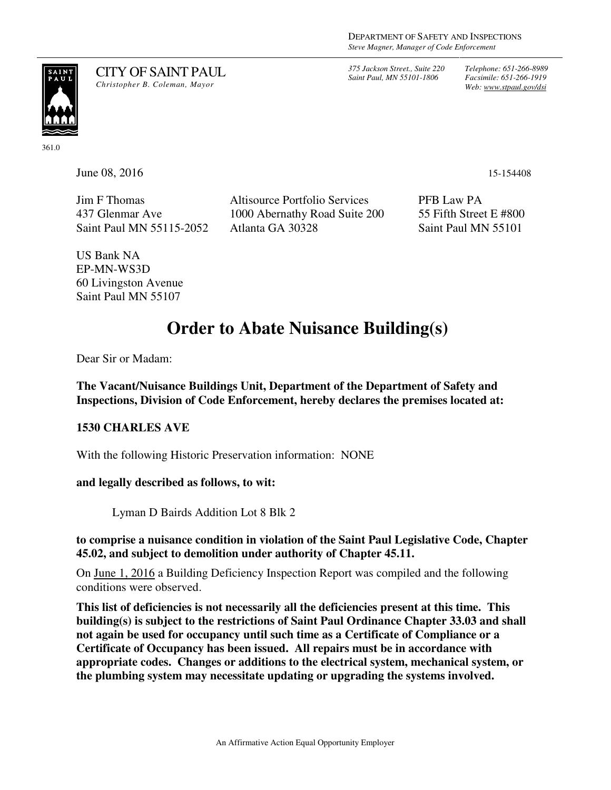*375 Jackson Street., Suite 220 Saint Paul, MN 55101-1806*

*Telephone: 651-266-8989 Facsimile: 651-266-1919 Web: www.stpaul.gov/dsi*



CITY OF SAINT PAUL *Christopher B. Coleman, Mayor* 

361.0

**June 08, 2016** 15-154408

Jim F Thomas 437 Glenmar Ave Saint Paul MN 55115-2052 Altisource Portfolio Services 1000 Abernathy Road Suite 200 Atlanta GA 30328

PFB Law PA 55 Fifth Street E #800 Saint Paul MN 55101

US Bank NA EP-MN-WS3D 60 Livingston Avenue Saint Paul MN 55107

# **Order to Abate Nuisance Building(s)**

Dear Sir or Madam:

**The Vacant/Nuisance Buildings Unit, Department of the Department of Safety and Inspections, Division of Code Enforcement, hereby declares the premises located at:** 

### **1530 CHARLES AVE**

With the following Historic Preservation information: NONE

#### **and legally described as follows, to wit:**

Lyman D Bairds Addition Lot 8 Blk 2

#### **to comprise a nuisance condition in violation of the Saint Paul Legislative Code, Chapter 45.02, and subject to demolition under authority of Chapter 45.11.**

On June 1, 2016 a Building Deficiency Inspection Report was compiled and the following conditions were observed.

**This list of deficiencies is not necessarily all the deficiencies present at this time. This building(s) is subject to the restrictions of Saint Paul Ordinance Chapter 33.03 and shall not again be used for occupancy until such time as a Certificate of Compliance or a Certificate of Occupancy has been issued. All repairs must be in accordance with appropriate codes. Changes or additions to the electrical system, mechanical system, or the plumbing system may necessitate updating or upgrading the systems involved.**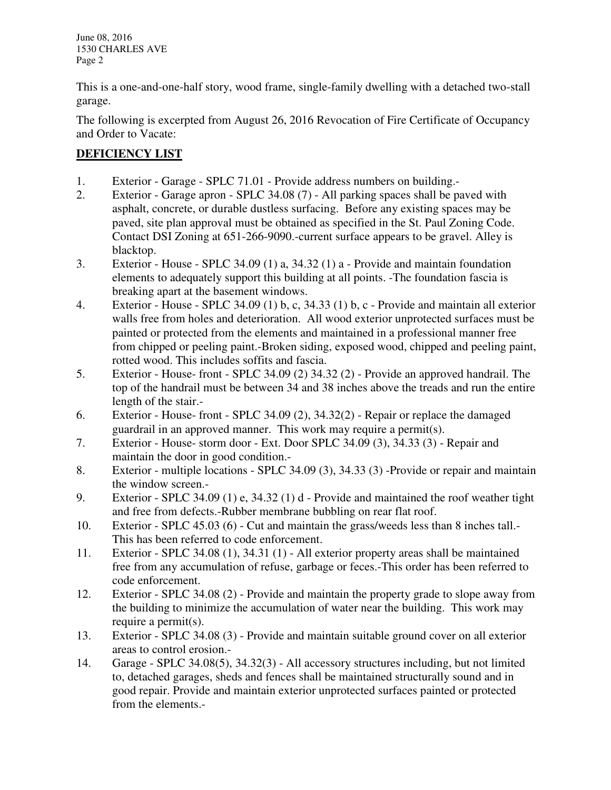June 08, 2016 1530 CHARLES AVE Page 2

This is a one-and-one-half story, wood frame, single-family dwelling with a detached two-stall garage.

The following is excerpted from August 26, 2016 Revocation of Fire Certificate of Occupancy and Order to Vacate:

## **DEFICIENCY LIST**

- 1. Exterior Garage SPLC 71.01 Provide address numbers on building.-
- 2. Exterior Garage apron SPLC 34.08 (7) All parking spaces shall be paved with asphalt, concrete, or durable dustless surfacing. Before any existing spaces may be paved, site plan approval must be obtained as specified in the St. Paul Zoning Code. Contact DSI Zoning at 651-266-9090.-current surface appears to be gravel. Alley is blacktop.
- 3. Exterior House SPLC 34.09 (1) a, 34.32 (1) a Provide and maintain foundation elements to adequately support this building at all points. -The foundation fascia is breaking apart at the basement windows.
- 4. Exterior House SPLC 34.09 (1) b, c, 34.33 (1) b, c Provide and maintain all exterior walls free from holes and deterioration. All wood exterior unprotected surfaces must be painted or protected from the elements and maintained in a professional manner free from chipped or peeling paint.-Broken siding, exposed wood, chipped and peeling paint, rotted wood. This includes soffits and fascia.
- 5. Exterior House- front SPLC 34.09 (2) 34.32 (2) Provide an approved handrail. The top of the handrail must be between 34 and 38 inches above the treads and run the entire length of the stair.-
- 6. Exterior House- front SPLC 34.09 (2), 34.32(2) Repair or replace the damaged guardrail in an approved manner. This work may require a permit(s).
- 7. Exterior House- storm door Ext. Door SPLC 34.09 (3), 34.33 (3) Repair and maintain the door in good condition.-
- 8. Exterior multiple locations SPLC 34.09 (3), 34.33 (3) -Provide or repair and maintain the window screen.-
- 9. Exterior SPLC 34.09 (1) e, 34.32 (1) d Provide and maintained the roof weather tight and free from defects.-Rubber membrane bubbling on rear flat roof.
- 10. Exterior SPLC 45.03 (6) Cut and maintain the grass/weeds less than 8 inches tall.- This has been referred to code enforcement.
- 11. Exterior SPLC 34.08 (1), 34.31 (1) All exterior property areas shall be maintained free from any accumulation of refuse, garbage or feces.-This order has been referred to code enforcement.
- 12. Exterior SPLC 34.08 (2) Provide and maintain the property grade to slope away from the building to minimize the accumulation of water near the building. This work may require a permit(s).
- 13. Exterior SPLC 34.08 (3) Provide and maintain suitable ground cover on all exterior areas to control erosion.-
- 14. Garage SPLC 34.08(5), 34.32(3) All accessory structures including, but not limited to, detached garages, sheds and fences shall be maintained structurally sound and in good repair. Provide and maintain exterior unprotected surfaces painted or protected from the elements.-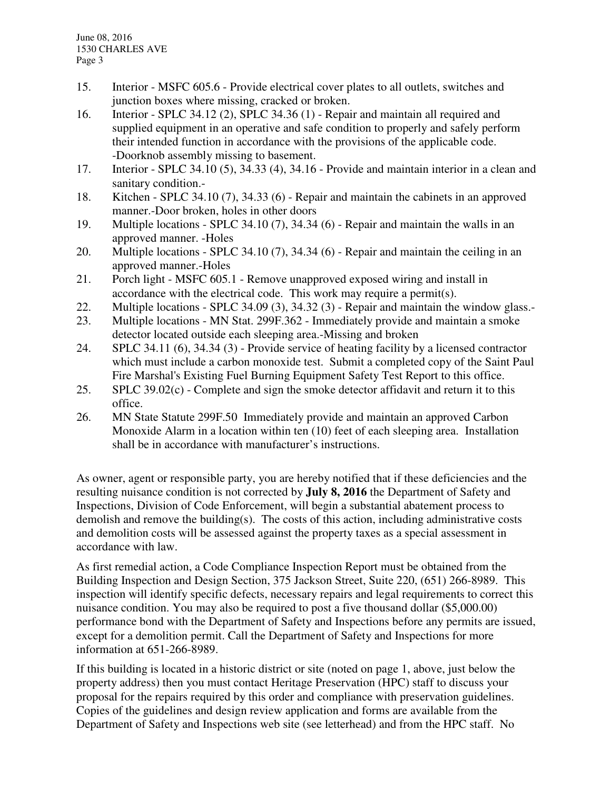- 15. Interior MSFC 605.6 Provide electrical cover plates to all outlets, switches and junction boxes where missing, cracked or broken.
- 16. Interior SPLC 34.12 (2), SPLC 34.36 (1) Repair and maintain all required and supplied equipment in an operative and safe condition to properly and safely perform their intended function in accordance with the provisions of the applicable code. -Doorknob assembly missing to basement.
- 17. Interior SPLC 34.10 (5), 34.33 (4), 34.16 Provide and maintain interior in a clean and sanitary condition.-
- 18. Kitchen SPLC 34.10 (7), 34.33 (6) Repair and maintain the cabinets in an approved manner.-Door broken, holes in other doors
- 19. Multiple locations SPLC 34.10 (7), 34.34 (6) Repair and maintain the walls in an approved manner. -Holes
- 20. Multiple locations SPLC 34.10 (7), 34.34 (6) Repair and maintain the ceiling in an approved manner.-Holes
- 21. Porch light MSFC 605.1 Remove unapproved exposed wiring and install in accordance with the electrical code. This work may require a permit(s).
- 22. Multiple locations SPLC 34.09 (3), 34.32 (3) Repair and maintain the window glass.-
- 23. Multiple locations MN Stat. 299F.362 Immediately provide and maintain a smoke detector located outside each sleeping area.-Missing and broken
- 24. SPLC 34.11 (6), 34.34 (3) Provide service of heating facility by a licensed contractor which must include a carbon monoxide test. Submit a completed copy of the Saint Paul Fire Marshal's Existing Fuel Burning Equipment Safety Test Report to this office.
- 25. SPLC 39.02(c) Complete and sign the smoke detector affidavit and return it to this office.
- 26. MN State Statute 299F.50 Immediately provide and maintain an approved Carbon Monoxide Alarm in a location within ten (10) feet of each sleeping area. Installation shall be in accordance with manufacturer's instructions.

As owner, agent or responsible party, you are hereby notified that if these deficiencies and the resulting nuisance condition is not corrected by **July 8, 2016** the Department of Safety and Inspections, Division of Code Enforcement, will begin a substantial abatement process to demolish and remove the building(s). The costs of this action, including administrative costs and demolition costs will be assessed against the property taxes as a special assessment in accordance with law.

As first remedial action, a Code Compliance Inspection Report must be obtained from the Building Inspection and Design Section, 375 Jackson Street, Suite 220, (651) 266-8989. This inspection will identify specific defects, necessary repairs and legal requirements to correct this nuisance condition. You may also be required to post a five thousand dollar (\$5,000.00) performance bond with the Department of Safety and Inspections before any permits are issued, except for a demolition permit. Call the Department of Safety and Inspections for more information at 651-266-8989.

If this building is located in a historic district or site (noted on page 1, above, just below the property address) then you must contact Heritage Preservation (HPC) staff to discuss your proposal for the repairs required by this order and compliance with preservation guidelines. Copies of the guidelines and design review application and forms are available from the Department of Safety and Inspections web site (see letterhead) and from the HPC staff. No